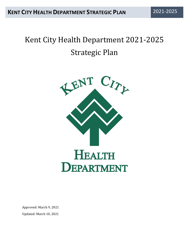# Kent City Health Department 2021-2025 Strategic Plan



Approved: March 9, 2021 Updated: March 10, 2021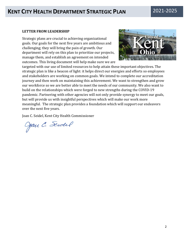#### **LETTER FROM LEADERSHIP**

Strategic plans are crucial to achieving organizational goals. Our goals for the next five years are ambitious and challenging; they will bring the pain of growth. Our department will rely on this plan to prioritize our projects, manage them, and establish an agreement on intended outcomes. This living document will help make sure we are



targeted with our use of limited resources to help attain these important objectives. The strategic plan is like a beacon of light: it helps direct our energies and efforts so employees and stakeholders are working on common goals. We intend to complete our accreditation journey and then work on maintaining this achievement. We want to strengthen and grow our workforce so we are better able to meet the needs of our community. We also want to build on the relationships which were forged to new strengths during the COVID-19 pandemic. Partnering with other agencies will not only provide synergy to meet our goals, but will provide us with insightful perspectives which will make our work more meaningful. The strategic plan provides a foundation which will support our endeavors over the next five years.

Joan C. Seidel, Kent City Health Commissioner

Jan C. Sendel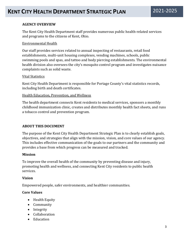#### **AGENCY OVERVIEW**

The Kent City Health Department staff provides numerous public health-related services and programs to the citizens of Kent, Ohio.

#### Environmental Health

Our staff provides services related to annual inspecting of restaurants, retail food establishments, multi-unit housing complexes, vending machines, schools, public swimming pools and spas, and tattoo and body piercing establishments. The environmental health division also oversees the city's mosquito control program and investigates nuisance complaints such as solid waste.

#### Vital Statistics

Kent City Health Department is responsible for Portage County's vital statistics records, including birth and death certificates.

#### Health Education, Prevention, and Wellness

The health department connects Kent residents to medical services, sponsors a monthly childhood immunization clinic, creates and distributes monthly health fact sheets, and runs a tobacco control and prevention program.

#### **ABOUT THIS DOCUMENT**

The purpose of the Kent City Health Department Strategic Plan is to clearly establish goals, objectives, and strategies that align with the mission, vision, and core values of our agency. This includes effective communication of the goals to our partners and the community and provides a base from which progress can be measured and tracked.

#### **Mission**

To improve the overall health of the community by preventing disease and injury, promoting health and wellness, and connecting Kent City residents to public health services.

#### **Vision**

Empowered people, safer environments, and healthier communities.

#### **Core Values**

- Health Equity
- Community
- Integrity
- Collaboration
- Education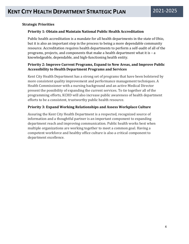#### **Strategic Priorities**

#### **Priority 1: Obtain and Maintain National Public Health Accreditation**

Public health accreditation is a mandate for all health departments in the state of Ohio, but it is also an important step in the process to being a more dependable community resource. Accreditation requires health departments to perform a self-audit of all of the programs, projects, and components that make a health department what it is – a knowledgeable, dependable, and high-functioning health entity.

#### **Priority 2: Improve Current Programs, Expand to New Areas, and Improve Public Accessibility to Health Department Programs and Services**

Kent City Health Department has a strong set of programs that have been bolstered by more consistent quality improvement and performance management techniques. A Health Commissioner with a nursing background and an active Medical Director present the possibility of expanding the current services. To tie together all of the programming efforts, KCHD will also increase public awareness of health department efforts to be a consistent, trustworthy public health resource.

#### **Priority 3: Expand Working Relationships and Assess Workplace Culture**

Assuring the Kent City Health Department is a respected, recognized source of information and a thoughtful partner is an important component to expanding department reach and improving communication. Public health works best when multiple organizations are working together to meet a common goal. Having a competent workforce and healthy office culture is also a critical component to department excellence.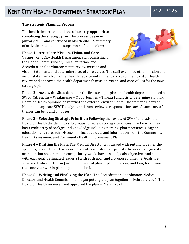#### **The Strategic Planning Process**

The health department utilized a four-step approach to completing the strategic plan. The process began in January 2020 and concluded in March 2021. A summary of activities related to the steps can be found below:

**Phase 1 – Articulate Mission, Vision, and Core Values:** Kent City Health Department staff consisting of

the Health Commissioner, Chief Sanitarian, and Accreditation Coordinator met to review mission and



vision statements and determine a set of core values. The staff examined other mission and vision statements from other health departments. In January 2020, the Board of Health review and approved the health department's mission, vision, and core values for the new strategic plan.

**Phase 2 – Assess the Situation:** Like the first strategic plan, the health department used a SWOT (Strengths – Weaknesses – Opportunities – Threats) analysis to determine staff and Board of Health opinions on internal and external environments. The staff and Board of Health did separate SWOT analyses and then reviewed responses for each. A summary of themes can be found on pages.

**Phase 3 – Selecting Strategic Priorities:** Following the review of SWOT analysis, the Board of Health divided into sub-groups to review strategic priorities. The Board of Health has a wide array of background knowledge including nursing, pharmaceuticals, higher education, and research. Discussions included data and information from the Community Health Assessment and Community Health Improvement Plan.

**Phase 4 – Drafting the Plan:** The Medical Director was tasked with putting together the specific goals and objective associated with each strategic priority. In order to align with accreditation requirements each priority would have a set of goals, objectives and actions with each goal, designated leader(s) with each goal, and a proposed timeline. Goals are separated into short-term (within one year of plan implementation) and long-term (more than one year within plan implementation).

**Phase 5 – Writing and Finalizing the Plan:** The Accreditation Coordinator, Medical Director, and Health Commissioner began putting the plan together in February 2021. The Board of Health reviewed and approved the plan in March 2021.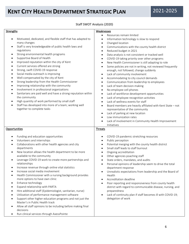• Run clinical services through AxessPointe

#### Staff SWOT Analysis (2020)

| <b>Strengths</b>                                                                                                                                                                                                                                                                                                                                                                                                                                                                                                                                                                                                                                                                                                                                                                                                                                                                                       | Weaknesses                                                                                                                                                                                                                                                                                                                                                                                                                                                                                                                                                                                                                                                                                                                                                                                |
|--------------------------------------------------------------------------------------------------------------------------------------------------------------------------------------------------------------------------------------------------------------------------------------------------------------------------------------------------------------------------------------------------------------------------------------------------------------------------------------------------------------------------------------------------------------------------------------------------------------------------------------------------------------------------------------------------------------------------------------------------------------------------------------------------------------------------------------------------------------------------------------------------------|-------------------------------------------------------------------------------------------------------------------------------------------------------------------------------------------------------------------------------------------------------------------------------------------------------------------------------------------------------------------------------------------------------------------------------------------------------------------------------------------------------------------------------------------------------------------------------------------------------------------------------------------------------------------------------------------------------------------------------------------------------------------------------------------|
|                                                                                                                                                                                                                                                                                                                                                                                                                                                                                                                                                                                                                                                                                                                                                                                                                                                                                                        |                                                                                                                                                                                                                                                                                                                                                                                                                                                                                                                                                                                                                                                                                                                                                                                           |
| Motivated, dedicated, and flexible staff that has adapted to<br>many changes<br>Staff is very knowledgeable of public health laws and<br>$\bullet$<br>regulations<br>Strong environmental health programs<br>٠<br>Supportive Board of Health<br>$\bullet$<br>Improved reputation within the city of Kent<br>٠<br>Current services offered are strong<br>$\bullet$<br>Strong, swift COVID-19 response<br>٠<br>Social media outreach is improving<br>$\bullet$<br>Well-compensated by the city of Kent<br>٠                                                                                                                                                                                                                                                                                                                                                                                              | Resources remain limited<br>$\bullet$<br>Information technology is slow to respond<br>$\bullet$<br>Changed location<br>$\bullet$<br>Communications with the county health district<br>$\bullet$<br>Reduced budget in 2021<br>$\bullet$<br>Data analysis is not consistent or tracked well<br>$\bullet$<br>COVID-19 taking priority over other programs<br>$\bullet$<br>New Health Commissioner is still adapting to role<br>$\bullet$<br>Some policies are not in writing, not reviewed frequently<br>$\bullet$<br>enough, not followed, change suddenly<br>Lack of community involvement<br>$\bullet$<br>Accommodating to city council demands<br>$\bullet$                                                                                                                              |
| Strong leadership from the Health Commissioner<br>$\bullet$<br>Improving relationship with the community<br>Involvement in professional organizations<br>٠<br>Sanitarians are paid well and have a strong reputation within<br>٠<br>the community<br>High quantity of work performed by small staff<br>$\bullet$<br>Staff has developed into more of a team; working well<br>$\bullet$<br>together to complete tasks                                                                                                                                                                                                                                                                                                                                                                                                                                                                                   | Communication from leadership to employees<br>$\bullet$<br>Lack of team decision-making<br>$\bullet$<br>No employee cell phones<br>$\bullet$<br>Lack of workforce development opportunities<br>$\bullet$<br>Lack of employee recognition activities<br>$\bullet$<br>Lack of wellness events for staff<br>$\bullet$<br>Board members are heavily affiliated with Kent State - not<br>$\bullet$<br>representative of the community<br>Lack of parking at new location<br>$\bullet$<br>Low immunization rates<br>$\bullet$<br>Lack of involvement in Community Health Improvement<br>$\bullet$<br>Initiatives                                                                                                                                                                                |
| Opportunities                                                                                                                                                                                                                                                                                                                                                                                                                                                                                                                                                                                                                                                                                                                                                                                                                                                                                          | Threats                                                                                                                                                                                                                                                                                                                                                                                                                                                                                                                                                                                                                                                                                                                                                                                   |
| Funding and education opportunities<br>Volunteers and internships<br>$\bullet$<br>Collaborations with other health agencies and city<br>$\bullet$<br>departments<br>New location allows the health department to be more<br>٠<br>available to the community<br>Leverage COVID-19 work to create more partnerships and<br>relationships<br>Increase revenue through online vital statistics<br>Increase social media involvement<br>Health Commissioner with a nursing background provides<br>more options to have own clinic<br>Enhance technology<br>٠<br>Expand relationship with PARTA<br>Hire additional staff (Epidemiologist, sanitarian, nurse)<br>Utilization of performance management software<br>Support other higher education programs and not just the<br>٠<br>Master's in Public Health track<br>Allow all staff opinions to be including before making final<br>$\bullet$<br>decisions | COVID-19 pandemic stretching resources<br>$\bullet$<br>Public perception<br>$\bullet$<br>Potential merging with the county health district<br>$\bullet$<br>Small staff leads to staff burnout<br>$\bullet$<br>Ongoing accreditation<br>$\bullet$<br>Other agencies poaching staff<br>$\bullet$<br>State orders, mandates, and audits<br>$\bullet$<br>Personal opinions of leadership seem to drive the total<br>$\bullet$<br>department response<br>Unrealistic expectations from leadership and the Board of<br>Health<br>Accreditation deadline<br>Poor reporting and responsiveness from county health<br>district with regard to communicable disease, nursing, and<br>preparedness<br>Lack of continuity plan if staff becomes ill with COVID-19;<br>$\bullet$<br>delegation of work |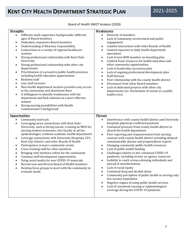#### Board of Health SWOT Analysis (2020)

| <b>Strengths</b>                                                                                                                                                                                                                                                                                                                                                                                                                                                                                                                                                                                                                                                                                                                                                                                                                                                                                                                                           | <b>Weaknesses</b>                                                                                                                                                                                                                                                                                                                                                                                                                                                                                                                                                                                                                                                                                                                                                                                                                                                                                                                                                                                                                                                               |
|------------------------------------------------------------------------------------------------------------------------------------------------------------------------------------------------------------------------------------------------------------------------------------------------------------------------------------------------------------------------------------------------------------------------------------------------------------------------------------------------------------------------------------------------------------------------------------------------------------------------------------------------------------------------------------------------------------------------------------------------------------------------------------------------------------------------------------------------------------------------------------------------------------------------------------------------------------|---------------------------------------------------------------------------------------------------------------------------------------------------------------------------------------------------------------------------------------------------------------------------------------------------------------------------------------------------------------------------------------------------------------------------------------------------------------------------------------------------------------------------------------------------------------------------------------------------------------------------------------------------------------------------------------------------------------------------------------------------------------------------------------------------------------------------------------------------------------------------------------------------------------------------------------------------------------------------------------------------------------------------------------------------------------------------------|
| Different work experience backgrounds; different<br>$\bullet$<br>ages of Board members<br>Dedicated, responsive Board members<br>Understanding of fiduciary responsibility<br>$\bullet$<br>Connections to a variety of regional healthcare<br>$\bullet$<br>systems<br>Strong professional relationship with Kent State<br>$\bullet$<br>University<br>Strong professional relationship with other city<br>$\bullet$<br>departments<br>Prioritization of a proactive public health presence,<br>$\bullet$<br>including health education opportunities<br><b>Resilient staff</b><br>$\bullet$<br>Low staff turnover<br>$\bullet$<br>New health department location provides easy access<br>$\bullet$<br>to the community and downtown Kent<br>A willingness to identify weaknesses with the<br>$\bullet$<br>department and find solutions in a more effective<br>manner<br>Strong nursing possibilities with Health<br>$\bullet$<br>Commissioner's background | Diversity of members<br>$\bullet$<br>Lack of community involvement and public<br>$\bullet$<br>engagement<br>Limited interactions with other Boards of Health<br>$\bullet$<br>Limited exposure to daily health department<br>$\bullet$<br>operations<br>Lack of new BOH member on-boarding plan<br>$\bullet$<br>Limited fiscal resources for health education and<br>$\bullet$<br>other community opportunities<br>Lack of leadership succession plan<br>$\bullet$<br>Lack of ongoing professional development plan<br>$\bullet$<br>Staff burnout<br>$\bullet$<br>Poor relationship with the county health district<br>$\bullet$<br>Disconnect from other Board members<br>$\bullet$<br>Lack of dedicated projects with other city<br>$\bullet$<br>departments (ex. Declaration of racism as a public<br>health crisis                                                                                                                                                                                                                                                           |
| <b>Opportunities</b><br>Community outreach<br>$\bullet$<br>Leveraging more connections with Kent State<br>$\bullet$<br>University, such as hiring nurses, creating an MOU for<br>nursing student assistance, hire faculty as ad hoc<br>epidemiologist, continue academic health department<br>Leverage connections with University Hospitals, CVS,<br>$\bullet$<br>Kent City Schools, and other Boards of Health<br>Participation in more community events<br>٠<br>Cross-training staff for other positions<br>$\bullet$<br>Bringing vital statistics online for the community<br>٠<br>Continue staff development opportunities<br>$\bullet$<br>Using social media for non-COVID-19 materials<br>$\bullet$<br>Recruit new and diverse Board of Health members<br>$\bullet$<br>Develop focus groups to meet with the community to<br>evaluate needs                                                                                                         | <b>Threats</b><br>Interference with county health district and University<br>$\bullet$<br>Hospitals physician conflicted positions<br>Continued pressure from county health district to<br>$\bullet$<br>absorb the health department<br>Poor reporting and responsiveness from nursing<br>$\bullet$<br>contract with county health district including delayed<br>communicable disease and preparedness reports<br>Changing community public health resources<br>$\bullet$<br>Lack of public health funding<br>$\bullet$<br>Challenges relative to the continued COVID-19<br>$\bullet$<br>pandemic, including strains on agency resources<br>Inability to reach science-denying individuals and<br>$\bullet$<br>spread of misinformation<br>Lack of racial equity<br>٠<br>Continued drug and alcohol abuse<br>Community perception of public health as serving only<br>$\bullet$<br>low-income population<br>Negative stigma of using public health services<br>$\bullet$<br>Lack of consistent nursing or epidemiological<br>$\bullet$<br>coverage during the COVID-19 pandemic |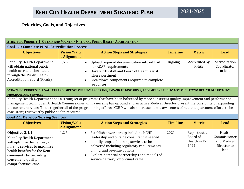### **Priorities, Goals, and Objectives**

| <b>STRATEGIC PRIORITY 1: OBTAIN AND MAINTAIN NATIONAL PUBLIC HEALTH ACCREDITATION</b>                                                                                                                                                                                                                                                                                                                                                                                                            |                                   |                                                                                                                                                                                                                                                                                                                                               |                 |                                                     |                                                              |
|--------------------------------------------------------------------------------------------------------------------------------------------------------------------------------------------------------------------------------------------------------------------------------------------------------------------------------------------------------------------------------------------------------------------------------------------------------------------------------------------------|-----------------------------------|-----------------------------------------------------------------------------------------------------------------------------------------------------------------------------------------------------------------------------------------------------------------------------------------------------------------------------------------------|-----------------|-----------------------------------------------------|--------------------------------------------------------------|
| <b>Goal 1.1: Complete PHAB Accreditation Process</b>                                                                                                                                                                                                                                                                                                                                                                                                                                             |                                   |                                                                                                                                                                                                                                                                                                                                               |                 |                                                     |                                                              |
| <b>Objectives</b>                                                                                                                                                                                                                                                                                                                                                                                                                                                                                | <b>Vision/Valu</b><br>e Alignment | <b>Action Steps and Strategies</b>                                                                                                                                                                                                                                                                                                            | <b>Timeline</b> | <b>Metric</b>                                       | Lead                                                         |
| Kent City Health Department<br>will obtain national public<br>health accreditation status<br>through the Public Health<br><b>Accreditation Board (PHAB)</b>                                                                                                                                                                                                                                                                                                                                      | 1,5,6                             | Upload required documentation into e-PHAB<br>$\bullet$<br>per ACAR requirements<br>Have KCHD staff and Board of Health assist<br>where pertinent<br>Breakdown components required to complete<br>$\bullet$<br>responses                                                                                                                       | Ongoing         | Accredited by<br><b>PHAB</b>                        | Accreditation<br>Coordinator<br>to lead                      |
| <b>PROGRAMS AND SERVICES</b>                                                                                                                                                                                                                                                                                                                                                                                                                                                                     |                                   | STRATEGIC PRIORITY 2: EVALUATE AND IMPROVE CURRENT PROGRAMS, EXPAND TO NEW AREAS, AND IMPROVE PUBLIC ACCESSIBILITY TO HEALTH DEPARTMENT                                                                                                                                                                                                       |                 |                                                     |                                                              |
| Kent City Health Department has a strong set of programs that have been bolstered by more consistent quality improvement and performance<br>management techniques. A Health Commissioner with a nursing background and an active Medical Director present the possibility of expanding<br>the current services. To tie together all of the programming efforts, KCHD will also increase public awareness of health department efforts to be a<br>consistent, trustworthy public health resource. |                                   |                                                                                                                                                                                                                                                                                                                                               |                 |                                                     |                                                              |
| <b>Goal 2.1: Develop Nursing Services</b>                                                                                                                                                                                                                                                                                                                                                                                                                                                        |                                   |                                                                                                                                                                                                                                                                                                                                               |                 |                                                     |                                                              |
| <b>Objectives</b>                                                                                                                                                                                                                                                                                                                                                                                                                                                                                | <b>Vision/Valu</b><br>e Alignment | <b>Action Steps and Strategies</b>                                                                                                                                                                                                                                                                                                            | <b>Timeline</b> | <b>Metric</b>                                       | Lead                                                         |
| Objective 2.1.1<br>Kent City Health Department<br>will optimize the delivery of<br>nursing services to maximize<br>health benefits for the Kent<br>community by providing<br>convenient, quality,<br>comprehensive care.                                                                                                                                                                                                                                                                         | 1,2,6                             | Establish a work group including KCHD<br>$\bullet$<br>leadership and outside consultant if needed<br>Identify scope of nursing services to be<br>$\bullet$<br>delivered including regulatory requirements,<br>billing, and revenue options<br>Explore potential partnerships and models of<br>$\bullet$<br>service delivery for optimal value | 2021            | Report out to<br>Board of<br>Health in Fall<br>2021 | Health<br>Commissioner<br>and Medical<br>Director to<br>lead |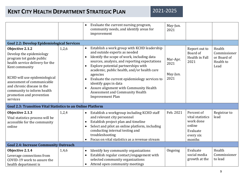|                                                                                                                                                                                                                                                                                                 |       | Evaluate the current nursing program,<br>$\bullet$<br>community needs, and identify areas for<br>improvement                                                                                                                                                                                                                                                                                                                                                                                                        | May-Jun.<br>2021                     |                                                                                          |                                                            |
|-------------------------------------------------------------------------------------------------------------------------------------------------------------------------------------------------------------------------------------------------------------------------------------------------|-------|---------------------------------------------------------------------------------------------------------------------------------------------------------------------------------------------------------------------------------------------------------------------------------------------------------------------------------------------------------------------------------------------------------------------------------------------------------------------------------------------------------------------|--------------------------------------|------------------------------------------------------------------------------------------|------------------------------------------------------------|
| <b>Goal 2.2: Develop Epidemiological Services</b>                                                                                                                                                                                                                                               |       |                                                                                                                                                                                                                                                                                                                                                                                                                                                                                                                     |                                      |                                                                                          |                                                            |
| Objective 2.1.2<br>Develop the epidemiology<br>program tot guide public<br>health service delivery for the<br>Kent community<br>KCHD will use epidemiological<br>assessment of communicable<br>and chronic disease in the<br>community to inform health<br>promotion and prevention<br>services | 1,2,6 | Establish a work group with KCHD leadership<br>$\bullet$<br>and outside experts as needed<br>Identify the scope of work, including data<br>sources, analysis, and reporting expectations<br>Explore potential partnerships with<br>$\bullet$<br>academic, public health, and/or health care<br>agencies<br>Evaluate the current epidemiology services to<br>$\bullet$<br>identify gaps in data<br>Assure alignment with Community Health<br>$\bullet$<br>Assessment and Community Health<br><b>Improvement Plan</b> | Mar-Apr.<br>2021<br>May-Jun.<br>2021 | Report out to<br>Board of<br>Health in Fall<br>2021                                      | Health<br>Commissioner<br>or Board of<br>Health to<br>Lead |
| <b>Goal 2.3: Transition Vital Statistics to an Online Platform</b>                                                                                                                                                                                                                              |       |                                                                                                                                                                                                                                                                                                                                                                                                                                                                                                                     |                                      |                                                                                          |                                                            |
| Objective 2.1.3<br>Vital statistics process will be<br>accessible for the community<br>online                                                                                                                                                                                                   | 1,2,4 | Establish a workgroup including KCHD staff<br>$\bullet$<br>and relevant city personnel<br>Establish project plan and timeline<br>$\bullet$<br>Select and pilot an online platform, including<br>$\bullet$<br>conducting internal testing and<br>troubleshooting<br>Focus on vital statistics as a revenue stream                                                                                                                                                                                                    | Feb. 2021                            | Percent of<br>vital statistics<br>work done<br>online<br>Evaluate<br>every six<br>months | Registrar to<br>lead                                       |
| <b>Goal 2.4: Increase Community Outreach</b>                                                                                                                                                                                                                                                    |       |                                                                                                                                                                                                                                                                                                                                                                                                                                                                                                                     |                                      |                                                                                          |                                                            |
| Objective 2.1.4<br>Leverage connections from<br>COVID-19 work to assure the<br>health department is                                                                                                                                                                                             | 1,4,6 | Identify key community organizations<br>$\bullet$<br>Establish regular contact/engagement with<br>$\bullet$<br>selected community organizations<br>Attend open community meetings                                                                                                                                                                                                                                                                                                                                   | Ongoing                              | Evaluate<br>social media<br>growth at the                                                | Health<br>Commissioner<br>to lead                          |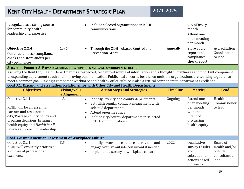| for community health<br>leadership and expertise                                                 |       | communications                                           |          | month<br>Attend one<br>open meeting                     |                                         |
|--------------------------------------------------------------------------------------------------|-------|----------------------------------------------------------|----------|---------------------------------------------------------|-----------------------------------------|
|                                                                                                  |       |                                                          |          | per month                                               |                                         |
| Objective 2.2.4<br>Continue tobacco compliance<br>checks and store audits per<br>city ordinances | 1,4,6 | Through the ODH Tobacco Control and<br>Prevention Grant, | Annually | Store audit<br>report and<br>compliance<br>check report | Accreditation<br>Coordinator<br>to lead |

**STRATEGIC PRIORITY 3: EXPAND WORKING RELATIONSHIPS AND ASSESS WORKPLACE CULTURE**

Assuring the Kent City Health Department is a respected, recognized source of information and a thoughtful partner is an important component to expanding department reach and improving communication. Public health works best when multiple organizations are working together to meet a common goal. Having a competent workforce and healthy office culture is also a critical component to department excellence.

| Goal 3.1: Expand and Strengthen Relationships with Other City and Health Departments                                                                                                                            |                    |                                                                                                                                                                                                                    |                 |                                                                                                 |                                                               |
|-----------------------------------------------------------------------------------------------------------------------------------------------------------------------------------------------------------------|--------------------|--------------------------------------------------------------------------------------------------------------------------------------------------------------------------------------------------------------------|-----------------|-------------------------------------------------------------------------------------------------|---------------------------------------------------------------|
| <b>Objectives</b>                                                                                                                                                                                               | <b>Vision/Valu</b> | <b>Action Steps and Strategies</b>                                                                                                                                                                                 | <b>Timeline</b> | <b>Metrics</b>                                                                                  | <b>Lead</b>                                                   |
|                                                                                                                                                                                                                 | e Alignment        |                                                                                                                                                                                                                    |                 |                                                                                                 |                                                               |
| Objective 3.1.1<br>KCHD will be an essential<br>partner and resource in<br>city/Portage county policy and<br>program decisions, brining a<br>health equity and Health in All<br>Policies approach to leadership | 1,3,4              | Identify key city and county departments<br>Establish regular contact/engagement with<br>selected departments<br>Attend open meetings<br>Include city/county departments in selected<br><b>KCHD</b> communications | Ongoing         | Attend one<br>open meeting<br>per month<br>with the<br>intent of<br>discussing<br>health equity | Health<br>Commissioner<br>to lead                             |
| <b>Goal 3.2: Implement an Assessment of Workplace Culture</b>                                                                                                                                                   |                    |                                                                                                                                                                                                                    |                 |                                                                                                 |                                                               |
| Objective 3.2.1<br>KCHD will explicitly prioritize<br>a culture of professional<br>excellence                                                                                                                   | 3,5                | Identify a workplace culture survey tool and<br>engage with an outside consultant if needed<br>Implement a survey of workplace culture                                                                             | 2022            | Qualitative<br>survey results<br>and<br>subsequent<br>actions based<br>on results               | Board of<br>Health and/or<br>outside<br>consultant to<br>lead |